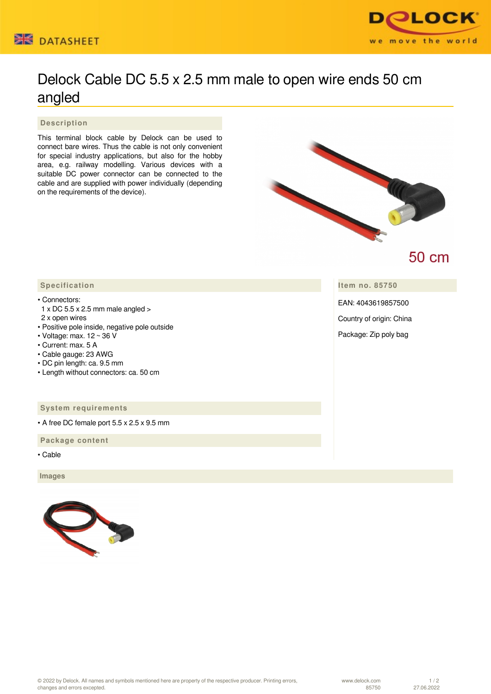



## Delock Cable DC 5.5 x 2.5 mm male to open wire ends 50 cm angled

 **Description**

This terminal block cable by Delock can be used to connect bare wires. Thus the cable is not only convenient for special industry applications, but also for the hobby area, e.g. railway modelling. Various devices with a suitable DC power connector can be connected to the cable and are supplied with power individually (depending on the requirements of the device).



## **50 cm**

**Item no. 85750**

EAN: 4043619857500

Country of origin: China

Package: Zip poly bag

## **Specification**

• Connectors:

- 1 x DC 5.5 x 2.5 mm male angled >
- 2 x open wires
- Positive pole inside, negative pole outside
- Voltage: max. 12 ~ 36 V
- Current: max. 5 A
- Cable gauge: 23 AWG
- DC pin length: ca. 9.5 mm
- Length without connectors: ca. 50 cm

## **System requirements**

• A free DC female port 5.5 x 2.5 x 9.5 mm

 **Package content**

• Cable

 **Images**